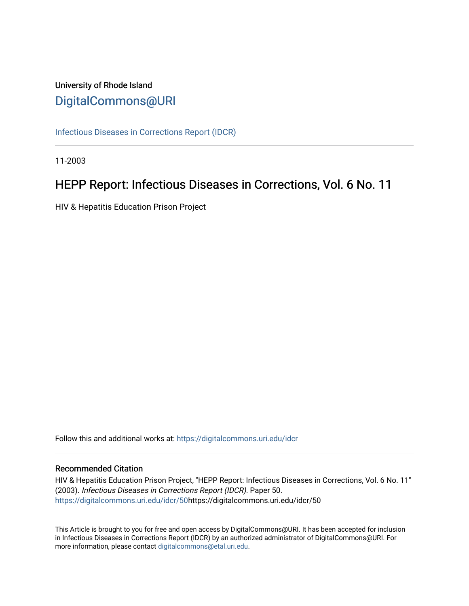# University of Rhode Island [DigitalCommons@URI](https://digitalcommons.uri.edu/)

[Infectious Diseases in Corrections Report \(IDCR\)](https://digitalcommons.uri.edu/idcr)

11-2003

# HEPP Report: Infectious Diseases in Corrections, Vol. 6 No. 11

HIV & Hepatitis Education Prison Project

Follow this and additional works at: [https://digitalcommons.uri.edu/idcr](https://digitalcommons.uri.edu/idcr?utm_source=digitalcommons.uri.edu%2Fidcr%2F50&utm_medium=PDF&utm_campaign=PDFCoverPages)

## Recommended Citation

HIV & Hepatitis Education Prison Project, "HEPP Report: Infectious Diseases in Corrections, Vol. 6 No. 11" (2003). Infectious Diseases in Corrections Report (IDCR). Paper 50. [https://digitalcommons.uri.edu/idcr/50h](https://digitalcommons.uri.edu/idcr/50?utm_source=digitalcommons.uri.edu%2Fidcr%2F50&utm_medium=PDF&utm_campaign=PDFCoverPages)ttps://digitalcommons.uri.edu/idcr/50

This Article is brought to you for free and open access by DigitalCommons@URI. It has been accepted for inclusion in Infectious Diseases in Corrections Report (IDCR) by an authorized administrator of DigitalCommons@URI. For more information, please contact [digitalcommons@etal.uri.edu.](mailto:digitalcommons@etal.uri.edu)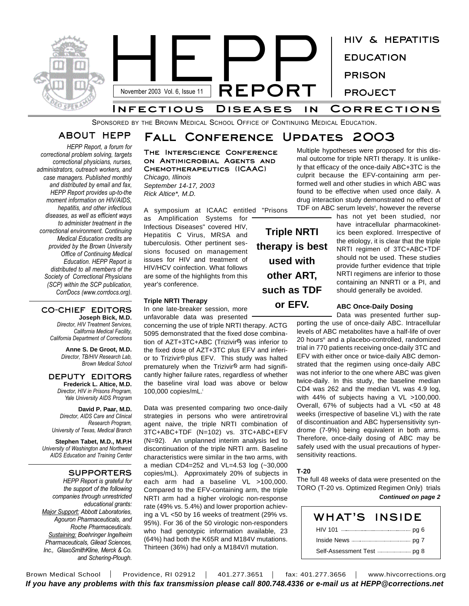

SPONSORED BY THE BROWN MEDICAL SCHOOL OFFICE OF CONTINUING MEDICAL EDUCATION.

**Fall Conference Updates 2003**

## **ABOUT HEPP**

*HEPP Report, a forum for correctional problem solving, targets correctional physicians, nurses, administrators, outreach workers, and case managers. Published monthly and distributed by email and fax, HEPP Report provides up-to-the moment information on HIV/AIDS, hepatitis, and other infectious diseases, as well as efficient ways to administer treatment in the correctional environment. Continuing Medical Education credits are provided by the Brown University Office of Continuing Medical Education. HEPP Report is distributed to all members of the Society of Correctional Physicians (SCP) within the SCP publication, CorrDocs (www.corrdocs.org).*

#### **CO-CHIEF EDITORS Joseph Bick, M.D.**

*Director, HIV Treatment Services, California Medical Facility, California Department of Corrections*

> **Anne S. De Groot, M.D.** *Director, TB/HIV Research Lab, Brown Medical School*

#### **DEPUTY EDITORS Frederick L. Altice, M.D.** *Director, HIV in Prisons Program, Yale University AIDS Program*

**David P. Paar, M.D.** *Director, AIDS Care and Clinical Research Program, University of Texas, Medical Branch*

**Stephen Tabet, M.D., M.P.H** *University of Washington and Northwest AIDS Education and Training Center*

#### **SUPPORTERS**

*HEPP Report is grateful for the support of the following companies through unrestricted educational grants: Major Support: Abbott Laboratories, Agouron Pharmaceuticals, and Roche Pharmaceuticals. Sustaining: Boehringer Ingelheim Pharmaceuticals, Gilead Sciences, Inc., GlaxoSmithKline, Merck & Co. and Schering-Plough.*

**The Interscience Conference on Antimicrobial Agents and Chemotherapeutics (ICAAC)** *Chicago, Illinois September 14-17, 2003 Rick Altice\*, M.D.*

A symposium at ICAAC entitled "Prisons

as Amplification Systems for Infectious Diseases" covered HIV, Hepatitis C Virus, MRSA and tuberculosis. Other pertinent sessions focused on management issues for HIV and treatment of HIV/HCV coinfection. What follows are some of the highlights from this year's conference.

#### **Triple NRTI Therapy**

In one late-breaker session, more unfavorable data was presented

concerning the use of triple NRTI therapy. ACTG 5095 demonstrated that the fixed dose combination of AZT+3TC+ABC (Trizivir<sup>®</sup>) was inferior to the fixed dose of AZT+3TC plus EFV and inferior to Trizivir<sup>®</sup> plus EFV. This study was halted prematurely when the Trizivir® arm had significantly higher failure rates, regardless of whether the baseline viral load was above or below 100,000 copies/mL. i

Data was presented comparing two once-daily strategies in persons who were antiretroviral agent naive, the triple NRTI combination of 3TC+ABC+TDF (N=102) vs. 3TC+ABC+EFV (N=92). An unplanned interim analysis led to discontinuation of the triple NRTI arm. Baseline characteristics were similar in the two arms, with a median CD4=252 and VL=4.53 log (~30,000 copies/mL). Approximately 20% of subjects in each arm had a baseline VL >100,000. Compared to the EFV-containing arm, the triple NRTI arm had a higher virologic non-response rate (49% vs. 5.4%) and lower proportion achieving a VL <50 by 16 weeks of treatment (29% vs. 95%). For 36 of the 50 virologic non-responders who had genotypic information available, 23 (64%) had both the K65R and M184V mutations. Thirteen (36%) had only a M184V/I mutation.

**Triple NRTI therapy is best used with other ART, such as TDF or EFV.**

Multiple hypotheses were proposed for this dismal outcome for triple NRTI therapy. It is unlikely that efficacy of the once-daily ABC+3TC is the culprit because the EFV-containing arm performed well and other studies in which ABC was found to be effective when used once daily. A drug interaction study demonstrated no effect of TDF on ABC serum levels<sup>®</sup>, however the reverse

> has not yet been studied, nor have intracellular pharmacokinetics been explored. Irrespective of the etiology, it is clear that the triple NRTI regimen of 3TC+ABC+TDF should not be used. These studies provide further evidence that triple NRTI regimens are inferior to those containing an NNRTI or a PI, and should generally be avoided.

### **ABC Once-Daily Dosing**

Data was presented further sup-

porting the use of once-daily ABC. Intracellular levels of ABC metabolites have a half-life of over 20 hours<sup>®</sup> and a placebo-controlled, randomized trial in 770 patients receiving once-daily 3TC and EFV with either once or twice-daily ABC demonstrated that the regimen using once-daily ABC was not inferior to the one where ABC was given twice-daily. In this study, the baseline median CD4 was 262 and the median VL was 4.9 log, with 44% of subjects having a VL >100,000. Overall, 67% of subjects had a VL <50 at 48 weeks (irrespective of baseline VL) with the rate of discontinuation and ABC hypersensitivity syndrome (7-9%) being equivalent in both arms. Therefore, once-daily dosing of ABC may be safely used with the usual precautions of hypersensitivity reactions.

#### **T-20**

The full 48 weeks of data were presented on the TORO (T-20 vs. Optimized Regimen Only) trials *Continued on page 2*

| WHAT'S INSIDE                                                |  |
|--------------------------------------------------------------|--|
|                                                              |  |
|                                                              |  |
| Self-Assessment Test <b>Constanting Self-Assessment</b> Test |  |

Brown Medical School | Providence, RI 02912 | 401.277.3651 | fax: 401.277.3656 | www.hivcorrections.org *If you have any problems with this fax transmission please call 800.748.4336 or e-mail us at HEPP@corrections.net*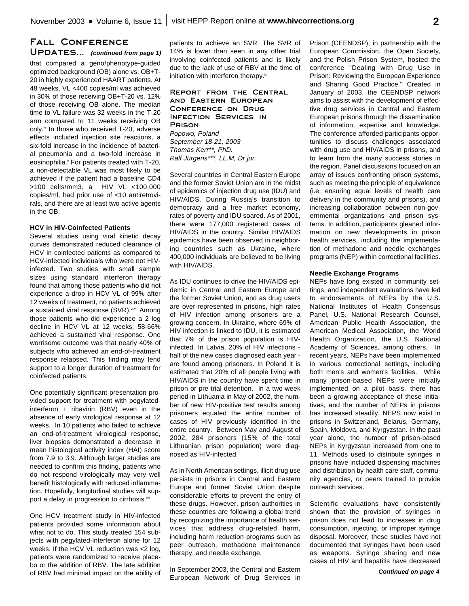### **Fall Conference** UPDATES... (continued from page 1)

that compared a geno/phenotype-guided optimized background (OB) alone vs. OB+T-20 in highly experienced HAART patients. At 48 weeks, VL <400 copies/ml was achieved in 30% of those receiving OB+T-20 vs. 12% of those receiving OB alone. The median time to VL failure was 32 weeks in the T-20 arm compared to 11 weeks receiving OB only.<sup>\*</sup> In those who received T-20, adverse effects included injection site reactions, a six-fold increase in the incidence of bacterial pneumonia and a two-fold increase in eosinophilia. <sup>v</sup> For patients treated with T-20, a non-detectable VL was most likely to be achieved if the patient had a baseline CD4 >100 cells/mm3, a HIV VL <100,000 copies/ml, had prior use of <10 antiretrovirals, and there are at least two active agents in the OB.

#### **HCV in HIV-Coinfected Patients**

Several studies using viral kinetic decay curves demonstrated reduced clearance of HCV in coinfected patients as compared to HCV-infected individuals who were not HIVinfected. Two studies with small sample sizes using standard interferon therapy found that among those patients who did not experience a drop in HCV VL of 99% after 12 weeks of treatment, no patients achieved a sustained viral response (SVR).<sup>vi,vii</sup> Among those patients who did experience a 2 log decline in HCV VL at 12 weeks, 58-66% achieved a sustained viral response. One worrisome outcome was that nearly 40% of subjects who achieved an end-of-treatment response relapsed. This finding may lend support to a longer duration of treatment for coinfected patients.

One potentially significant presentation provided support for treatment with pegylatedinterferon + ribavirin (RBV) even in the absence of early virological response at 12 weeks. In 10 patients who failed to achieve an end-of-treatment virological response, liver biopsies demonstrated a decrease in mean histological activity index (HAI) score from 7.9 to 3.9. Although larger studies are needed to confirm this finding, patients who do not respond virologically may very well benefit histologically with reduced inflammation. Hopefully, longitudinal studies will support a delay in progression to cirrhosis.<sup>viii</sup>

One HCV treatment study in HIV-infected patients provided some information about what not to do. This study treated 154 subjects with pegylated-interferon alone for 12 weeks. If the HCV VL reduction was <2 log, patients were randomized to receive placebo or the addition of RBV. The late addition of RBV had minimal impact on the ability of patients to achieve an SVR. The SVR of 14% is lower than seen in any other trial involving coinfected patients and is likely due to the lack of use of RBV at the time of initiation with interferon therapy. $^{\mathrm{K}}$ 

#### **Report from the Central and Eastern European Conference on Drug Infection Services in Prison** *Popowo, Poland*

*September 18-21, 2003 Thomas Kerr\*\*, PhD. Ralf Jürgens\*\*\*, LL.M, Dr jur.*

Several countries in Central Eastern Europe and the former Soviet Union are in the midst of epidemics of injection drug use (IDU) and HIV/AIDS. During Russia's transition to democracy and a free market economy, rates of poverty and IDU soared. As of 2001, there were 177,000 registered cases of HIV/AIDS in the country. Similar HIV/AIDS epidemics have been observed in neighboring countries such as Ukraine, where 400,000 individuals are believed to be living with HIV/AIDS.

As IDU continues to drive the HIV/AIDS epidemic in Central and Eastern Europe and the former Soviet Union, and as drug users are over-represented in prisons, high rates of HIV infection among prisoners are a growing concern. In Ukraine, where 69% of HIV infection is linked to IDU, it is estimated that 7% of the prison population is HIVinfected. In Latvia, 20% of HIV infections half of the new cases diagnosed each year are found among prisoners. In Poland it is estimated that 20% of all people living with HIV/AIDS in the country have spent time in prison or pre-trial detention. In a two-week period in Lithuania in May of 2002, the number of new HIV-positive test results among prisoners equaled the entire number of cases of HIV previously identified in the entire country. Between May and August of 2002, 284 prisoners (15% of the total Lithuanian prison population) were diagnosed as HIV-infected.

As in North American settings, illicit drug use persists in prisons in Central and Eastern Europe and former Soviet Union despite considerable efforts to prevent the entry of these drugs. However, prison authorities in these countries are following a global trend by recognizing the importance of health services that address drug-related harm, including harm reduction programs such as peer outreach, methadone maintenance therapy, and needle exchange.

In September 2003, the Central and Eastern European Network of Drug Services in Prison (CEENDSP), in partnership with the European Commission, the Open Society, and the Polish Prison System, hosted the conference "Dealing with Drug Use in Prison: Reviewing the European Experience and Sharing Good Practice." Created in January of 2003, the CEENDSP network aims to assist with the development of effective drug services in Central and Eastern European prisons through the dissemination of information, expertise and knowledge. The conference afforded participants opportunities to discuss challenges associated with drug use and HIV/AIDS in prisons, and to learn from the many success stories in the region. Panel discussions focused on an array of issues confronting prison systems, such as meeting the principle of equivalence (i.e. ensuring equal levels of health care delivery in the community and prisons), and increasing collaboration between non-governmental organizations and prison systems. In addition, participants gleaned information on new developments in prison health services, including the implementation of methadone and needle exchanges programs (NEP) within correctional facilities.

#### **Needle Exchange Programs**

NEPs have long existed in community settings, and independent evaluations have led to endorsements of NEPs by the U.S. National Institutes of Health Consensus Panel, U.S. National Research Counsel, American Public Health Association, the American Medical Association, the World Health Organization, the U.S. National Academy of Sciences, among others. In recent years, NEPs have been implemented in various correctional settings, including both men's and women's facilities. While many prison-based NEPs were initially implemented on a pilot basis, there has been a growing acceptance of these initiatives, and the number of NEPs in prisons has increased steadily. NEPS now exist in prisons in Switzerland, Belarus, Germany, Spain, Moldova, and Kyrgyzstan. In the past year alone, the number of prison-based NEPs in Kyrgyzstan increased from one to 11. Methods used to distribute syringes in prisons have included dispensing machines and distribution by health care staff, community agencies, or peers trained to provide outreach services.

Scientific evaluations have consistently shown that the provision of syringes in prison does not lead to increases in drug consumption, injecting, or improper syringe disposal. Moreover, these studies have not documented that syringes have been used as weapons. Syringe sharing and new cases of HIV and hepatitis have decreased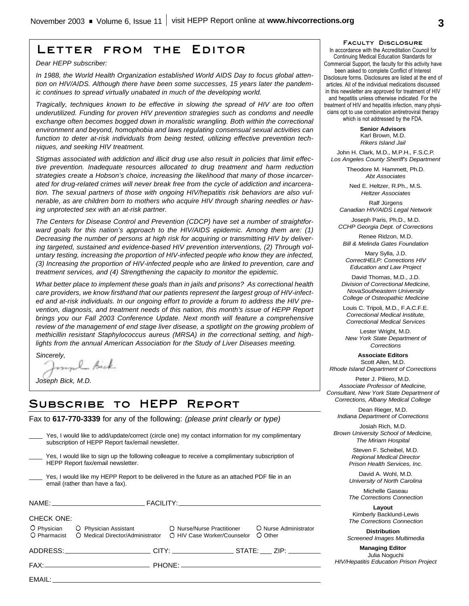## **Letter from the Editor**

*Dear HEPP subscriber:*

*In 1988, the World Health Organization established World AIDS Day to focus global attention on HIV/AIDS. Although there have been some successes, 15 years later the pandemic continues to spread virtually unabated in much of the developing world.* 

*Tragically, techniques known to be effective in slowing the spread of HIV are too often underutilized. Funding for proven HIV prevention strategies such as condoms and needle exchange often becomes bogged down in moralistic wrangling. Both within the correctional environment and beyond, homophobia and laws regulating consensual sexual activities can function to deter at-risk individuals from being tested, utilizing effective prevention techniques, and seeking HIV treatment.* 

*Stigmas associated with addiction and illicit drug use also result in policies that limit effective prevention. Inadequate resources allocated to drug treatment and harm reduction strategies create a Hobson's choice, increasing the likelihood that many of those incarcerated for drug-related crimes will never break free from the cycle of addiction and incarceration. The sexual partners of those with ongoing HIV/hepatitis risk behaviors are also vulnerable, as are children born to mothers who acquire HIV through sharing needles or having unprotected sex with an at-risk partner.* 

*The Centers for Disease Control and Prevention (CDCP) have set a number of straightforward goals for this nation's approach to the HIV/AIDS epidemic. Among them are: (1) Decreasing the number of persons at high risk for acquiring or transmitting HIV by delivering targeted, sustained and evidence-based HIV prevention interventions, (2) Through voluntary testing, increasing the proportion of HIV-infected people who know they are infected, (3) Increasing the proportion of HIV-infected people who are linked to prevention, care and treatment services, and (4) Strengthening the capacity to monitor the epidemic.*

*What better place to implement these goals than in jails and prisons? As correctional health care providers, we know firsthand that our patients represent the largest group of HIV-infected and at-risk individuals. In our ongoing effort to provide a forum to address the HIV prevention, diagnosis, and treatment needs of this nation, this month's issue of HEPP Report brings you our Fall 2003 Conference Update. Next month will feature a comprehensive review of the management of end stage liver disease, a spotlight on the growing problem of methicillin resistant Staphylococcus aureus (MRSA) in the correctional setting, and highlights from the annual American Association for the Study of Liver Diseases meeting.* 

*Sincerely,*

*Joseph Bick, M.D.*

# **Subscribe to HEPP Report**

Fax to **617-770-3339** for any of the following: *(please print clearly or type)*

| subscription of HEPP Report fax/email newsletter.                                                                                    | Yes, I would like to add/update/correct (circle one) my contact information for my complimentary |  |  |  |
|--------------------------------------------------------------------------------------------------------------------------------------|--------------------------------------------------------------------------------------------------|--|--|--|
| Yes, I would like to sign up the following colleague to receive a complimentary subscription of<br>HEPP Report fax/email newsletter. |                                                                                                  |  |  |  |
| email (rather than have a fax).                                                                                                      | Yes, I would like my HEPP Report to be delivered in the future as an attached PDF file in an     |  |  |  |
|                                                                                                                                      |                                                                                                  |  |  |  |
| CHECK ONE:                                                                                                                           |                                                                                                  |  |  |  |
| $\overline{O}$ Pharmacist $\overline{O}$ Medical Director/Administrator $\overline{O}$ HIV Case Worker/Counselor                     | O Physician O Physician Assistant O Nurse/Nurse Practitioner O Nurse Administrator<br>O Other    |  |  |  |
|                                                                                                                                      |                                                                                                  |  |  |  |
|                                                                                                                                      |                                                                                                  |  |  |  |
| FMAII ·                                                                                                                              |                                                                                                  |  |  |  |

#### **Faculty Disclosure**

In accordance with the Accreditation Council for Continuing Medical Education Standards for Commercial Support, the faculty for this activity have been asked to complete Conflict of Interest Disclosure forms. Disclosures are listed at the end of articles. All of the individual medications discussed in this newsletter are approved for treatment of HIV and hepatitis unless otherwise indicated. For the treatment of HIV and hepatitis infection, many physicians opt to use combination antiretroviral therapy which is not addressed by the FDA.

> **Senior Advisors** Karl Brown, M.D. *Rikers Island Jail*

John H. Clark, M.D., M.P.H., F.S.C.P. *Los Angeles County Sheriff's Department*

> Theodore M. Hammett, Ph.D. *Abt Associates*

Ned E. Heltzer, R.Ph., M.S. *Heltzer Associates*

Ralf Jürgens *Canadian HIV/AIDS Legal Network*

Joseph Paris, Ph.D., M.D. *CCHP Georgia Dept. of Corrections*

Renee Ridzon, M.D. *Bill & Melinda Gates Foundation*

Mary Sylla, J.D. *CorrectHELP: Corrections HIV Education and Law Project*

David Thomas, M.D., J.D. *Division of Correctional Medicine, NovaSoutheastern University College of Osteopathic Medicine*

Louis C. Tripoli, M.D., F.A.C.F.E. *Correctional Medical Institute, Correctional Medical Services*

Lester Wright, M.D. *New York State Department of Corrections*

**Associate Editors** Scott Allen, M.D. *Rhode Island Department of Corrections*

Peter J. Piliero, M.D. *Associate Professor of Medicine, Consultant, New York State Department of Corrections, Albany Medical College*

Dean Rieger, M.D. *Indiana Department of Corrections*

Josiah Rich, M.D. *Brown University School of Medicine, The Miriam Hospital*

> Steven F. Scheibel, M.D. *Regional Medical Director Prison Health Services, Inc.*

> David A. Wohl, M.D. *University of North Carolina*

> Michelle Gaseau *The Corrections Connection*

> **Layout** Kimberly Backlund-Lewis *The Corrections Connection*

**Distribution** *Screened Images Multimedia*

**Managing Editor** Julia Noguchi *HIV/Hepatitis Education Prison Project*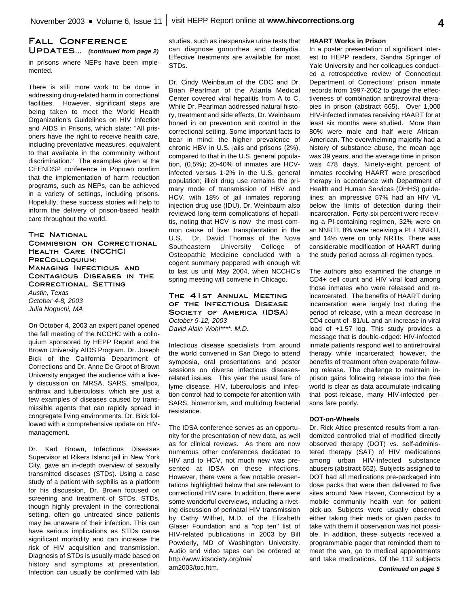### in prisons where NEPs have been implemented. **Fall Conference Updates...** *(continued from page 2)*

There is still more work to be done in addressing drug-related harm in correctional facilities. However, significant steps are being taken to meet the World Health Organization's Guidelines on HIV Infection and AIDS in Prisons, which state: "All prisoners have the right to receive health care, including preventative measures, equivalent to that available in the community without discrimination." The examples given at the CEENDSP conference in Popowo confirm that the implementation of harm reduction programs, such as NEPs, can be achieved in a variety of settings, including prisons. Hopefully, these success stories will help to inform the delivery of prison-based health care throughout the world.

#### **The National Commission on Correctional Health Care (NCCHC) PreColloquium: Managing Infectious and Contagious Diseases in the Correctional Setting** *Austin, Texas*

*October 4-8, 2003 Julia Noguchi, MA*

On October 4, 2003 an expert panel opened the fall meeting of the NCCHC with a colloquium sponsored by HEPP Report and the Brown University AIDS Program. Dr. Joseph Bick of the California Department of Corrections and Dr. Anne De Groot of Brown University engaged the audience with a lively discussion on MRSA, SARS, smallpox, anthrax and tuberculosis, which are just a few examples of diseases caused by transmissible agents that can rapidly spread in congregate living environments. Dr. Bick followed with a comprehensive update on HIVmanagement.

Dr. Karl Brown, Infectious Diseases Supervisor at Rikers Island jail in New York City, gave an in-depth overview of sexually transmitted diseases (STDs). Using a case study of a patient with syphilis as a platform for his discussion, Dr. Brown focused on screening and treatment of STDs. STDs, though highly prevalent in the correctional setting, often go untreated since patients may be unaware of their infection. This can have serious implications as STDs cause significant morbidity and can increase the risk of HIV acquisition and transmission. Diagnosis of STDs is usually made based on history and symptoms at presentation. Infection can usually be confirmed with lab studies, such as inexpensive urine tests that can diagnose gonorrhea and clamydia. Effective treatments are available for most STDs.

Dr. Cindy Weinbaum of the CDC and Dr. Brian Pearlman of the Atlanta Medical Center covered viral hepatitis from A to C. While Dr. Pearlman addressed natural history, treatment and side effects, Dr. Weinbaum honed in on prevention and control in the correctional setting. Some important facts to bear in mind: the higher prevalence of chronic HBV in U.S. jails and prisons (2%), compared to that in the U.S. general population, (0.5%); 20-40% of inmates are HCVinfected versus 1-2% in the U.S. general population; illicit drug use remains the primary mode of transmission of HBV and HCV, with 18% of jail inmates reporting injection drug use (IDU). Dr. Weinbaum also reviewed long-term complications of hepatitis, noting that HCV is now the most common cause of liver transplantation in the U.S. Dr. David Thomas of the Nova Southeastern University College of Osteopathic Medicine concluded with a cogent summary peppered with enough wit to last us until May 2004, when NCCHC's spring meeting will convene in Chicago.

**The 41st Annual Meeting of the Infectious Disease Society of America (IDSA)** *October 9-12, 2003 David Alain Wohl\*\*\*\*, M.D.*

Infectious disease specialists from around the world convened in San Diego to attend symposia, oral presentations and poster sessions on diverse infectious diseasesrelated issues. This year the usual fare of lyme disease, HIV, tuberculosis and infection control had to compete for attention with SARS, bioterrorism, and multidrug bacterial resistance.

The IDSA conference serves as an opportunity for the presentation of new data, as well as for clinical reviews. As there are now numerous other conferences dedicated to HIV and to HCV, not much new was presented at IDSA on these infections. However, there were a few notable presentations highlighted below that are relevant to correctional HIV care. In addition, there were some wonderful overviews, including a riveting discussion of perinatal HIV transmission by Cathy Wilfret, M.D. of the Elizabeth Glaser Foundation and a "top ten" list of HIV-related publications in 2003 by Bill Powderly, MD of Washington University. Audio and video tapes can be ordered at http://www.idsociety.org/me/ am2003/toc.htm.

#### **HAART Works in Prison**

In a poster presentation of significant interest to HEPP readers, Sandra Springer of Yale University and her colleagues conducted a retrospective review of Connecticut Department of Corrections' prison inmate records from 1997-2002 to gauge the effectiveness of combination antiretroviral therapies in prison (abstract 665). Over 1,000 HIV-infected inmates receiving HAART for at least six months were studied. More than 80% were male and half were African-American. The overwhelming majority had a history of substance abuse, the mean age was 39 years, and the average time in prison was 478 days. Ninety-eight percent of inmates receiving HAART were prescribed therapy in accordance with Department of Health and Human Services (DHHS) guidelines; an impressive 57% had an HIV VL below the limits of detection during their incarceration. Forty-six percent were receiving a PI-containing regimen, 32% were on an NNRTI, 8% were receiving a PI + NNRTI, and 14% were on only NRTIs. There was considerable modification of HAART during the study period across all regimen types.

The authors also examined the change in CD4+ cell count and HIV viral load among those inmates who were released and reincarcerated. The benefits of HAART during incarceration were largely lost during the period of release, with a mean decrease in CD4 count of -81/uL and an increase in viral load of +1.57 log. This study provides a message that is double-edged: HIV-infected inmate patients respond well to antiretroviral therapy while incarcerated; however, the benefits of treatment often evaporate following release. The challenge to maintain inprison gains following release into the free world is clear as data accumulate indicating that post-release, many HIV-infected persons fare poorly.

#### **DOT-on-Wheels**

Dr. Rick Altice presented results from a randomized controlled trial of modified directly observed therapy (DOT) vs. self-administered therapy (SAT) of HIV medications among urban HIV-infected substance abusers (abstract 652). Subjects assigned to DOT had all medications pre-packaged into dose packs that were then delivered to five sites around New Haven, Connecticut by a mobile community health van for patient pick-up. Subjects were usually observed either taking their meds or given packs to take with them if observation was not possible. In addition, these subjects received a programmable pager that reminded them to meet the van, go to medical appointments and take medications. Of the 112 subjects

*Continued on page 5*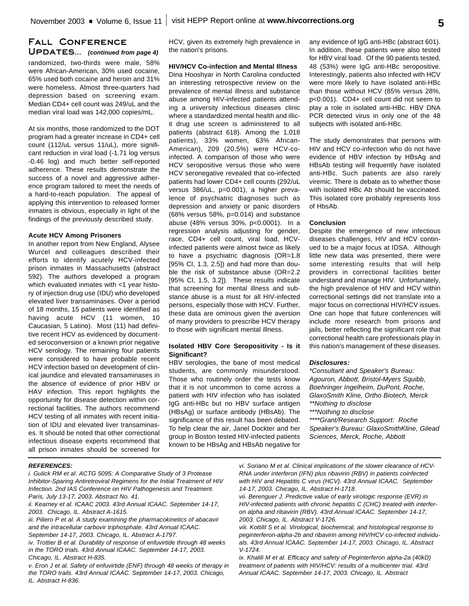## **Fall Conference Updates...** *(continued from page 4)*

randomized, two-thirds were male, 58% were African-American, 30% used cocaine, 65% used both cocaine and heroin and 31% were homeless. Almost three-quarters had depression based on screening exam. Median CD4+ cell count was 249/uL and the median viral load was 142,000 copies/mL.

At six months, those randomized to the DOT program had a greater increase in CD4+ cell count (112/uL versus 11/uL), more significant reduction in viral load (-1.71 log versus -0.46 log) and much better self-reported adherence. These results demonstrate the success of a novel and aggressive adherence program tailored to meet the needs of a hard-to-reach population. The appeal of applying this intervention to released former inmates is obvious, especially in light of the findings of the previously described study.

#### **Acute HCV Among Prisoners**

In another report from New England, Alysee Wurcel and colleagues described their efforts to identify acutely HCV-infected prison inmates in Massachusetts (abstract 592). The authors developed a program which evaluated inmates with <1 year history of injection drug use (IDU) who developed elevated liver transaminases. Over a period of 18 months, 15 patients were identified as having acute HCV (11 women, 10 Caucasian, 5 Latino). Most (11) had definitive recent HCV as evidenced by documented seroconversion or a known prior negative HCV serology. The remaining four patients were considered to have probable recent HCV infection based on development of clinical jaundice and elevated transaminases in the absence of evidence of prior HBV or HAV infection. This report highlights the opportunity for disease detection within correctional facilities. The authors recommend HCV testing of all inmates with recent initiation of IDU and elevated liver transaminases. It should be noted that other correctional infectious disease experts recommend that all prison inmates should be screened for HCV, given its extremely high prevalence in the nation's prisons.

# **HIV/HCV Co-infection and Mental Illness**

Dina Hooshyar in North Carolina conducted an interesting retrospective review on the prevalence of mental illness and substance abuse among HIV-infected patients attending a university infectious diseases clinic where a standardized mental health and illicit drug use screen is administered to all patients (abstract 618). Among the 1,018 patients), 33% women, 63% African-American), 209 (20.5%) were HCV-coinfected. A comparison of those who were HCV seropositive versus those who were HCV seronegative revealed that co-infected patients had lower CD4+ cell counts (292/uL versus 386/uL, p=0.001), a higher prevalence of psychiatric diagnoses such as depression and anxiety or panic disorders (68% versus 58%, p=0.014) and substance abuse (48% versus 30%, p<0.0001). In a regression analysis adjusting for gender, race, CD4+ cell count, viral load, HCVinfected patients were almost twice as likely to have a psychiatric diagnosis (OR=1.8 [95% CI, 1.3, 2.5]) and had more than double the risk of substance abuse (OR=2.2 [95% CI, 1.5, 3.2]). These results indicate that screening for mental illness and substance abuse is a must for all HIV-infected persons, especially those with HCV. Further, these data are ominous given the aversion of many providers to prescribe HCV therapy to those with significant mental illness.

#### **Isolated HBV Core Seropositivity - Is it Significant?**

HBV serologies, the bane of most medical students, are commonly misunderstood. Those who routinely order the tests know that it is not uncommon to come across a patient with HIV infection who has isolated IgG anti-HBc but no HBV surface antigen (HBsAg) or surface antibody (HBsAb). The significance of this result has been debated. To help clear the air, Janel Dockter and her group in Boston tested HIV-infected patients known to be HBsAg and HBsAb negative for any evidence of IgG anti-HBc (abstract 601). In addition, these patients were also tested for HBV viral load. Of the 90 patients tested, 48 (53%) were IgG anti-HBc seropositive. Interestingly, patients also infected with HCV were more likely to have isolated anti-HBc than those without HCV (85% versus 28%, p<0.001). CD4+ cell count did not seem to play a role in isolated anti-HBc. HBV DNA PCR detected virus in only one of the 48 subjects with isolated anti-HBc.

The study demonstrates that persons with HIV and HCV co-infection who do not have evidence of HBV infection by HBsAg and HBsAb testing will frequently have isolated anti-HBc. Such patients are also rarely viremic. There is debate as to whether those with isolated HBc Ab should be vaccinated. This isolated core probably represents loss of HbsAb.

#### **Conclusion**

Despite the emergence of new infectious diseases challenges, HIV and HCV continued to be a major focus at IDSA. Although little new data was presented, there were some interesting results that will help providers in correctional facilities better understand and manage HIV. Unfortunately, the high prevalence of HIV and HCV within correctional settings did not translate into a major focus on correctional HIV/HCV issues. One can hope that future conferences will include more research from prisons and jails, better reflecting the significant role that correctional health care professionals play in this nation's management of these diseases.

#### *Disclosures:*

*\*Consultant and Speaker's Bureau: Agouron, Abbott, Bristol-Myers Squibb, Boehringer Ingelheim, DuPont, Roche, GlaxoSmith Kline, Ortho Biotech, Merck \*\*Nothing to disclose \*\*\*Nothing to disclose \*\*\*\*Grant/Research Support: Roche Speaker's Bureau: GlaxoSmithKline, Gilead*

*Sciences, Merck, Roche, Abbott*

#### *REFERENCES:*

*i. Gulick RM et al. ACTG 5095: A Comparative Study of 3 Protease Inhibitor-Sparing Antiretroviral Regimens for the Initial Treatment of HIV Infection. 2nd IAS Conference on HIV Pathogenesis and Treatment. Paris, July 13-17, 2003. Abstract No. 41.*

*ii. Kearney et al. ICAAC 2003. 43rd Annual ICAAC. September 14-17, 2003. Chicago, IL. Abstract A-1615.* 

*iii. Piliero P et al. A study examining the pharmacokinetics of abacavir and the intracellular carbovir triphosphate. 43rd Annual ICAAC. September 14-17, 2003. Chicago, IL. Abstract A-1797.* 

*iv. Trottier B et al. Durability of response of enfuvirtide through 48 weeks in the TORO trials. 43rd Annual ICAAC. September 14-17, 2003. Chicago, IL. Abstract H-835.*

*v. Eron J et al. Safety of enfuvirtide (ENF) through 48 weeks of therapy in the TORO trails. 43rd Annual ICAAC. September 14-17, 2003. Chicago, IL. Abstract H-836.*

*vi. Soriano M et al. Clinical implications of the slower clearance of HCV-RNA under interferon (IFN) plus ribavirin (RBV) in patients coinfected with HIV and Hepatitis C virus (HCV). 43rd Annual ICAAC. September 14-17, 2003. Chicago, IL. Abstract H-1718.*

*vii. Berenguer J. Predictive value of early virologic response (EVR) in HIV-infected patients with chronic hepatitis C (CHC) treated with interferon alpha and ribavirin (RBV). 43rd Annual ICAAC. September 14-17, 2003. Chicago, IL. Abstract V-1726.*

*viii. Kottilil S et al. Virological, biochemical, and histological response to peginterferon-alpha-2b and ribavirin among HIV/HCV co-infected individuals. 43rd Annual ICAAC. September 14-17, 2003. Chicago, IL. Abstract V-1724.*

*ix. Khalili M et al. Efficacy and safety of Peginterferon alpha-2a (40kD) treatment of patients with HIV/HCV: results of a multicenter trial. 43rd Annual ICAAC. September 14-17, 2003. Chicago, IL. Abstract*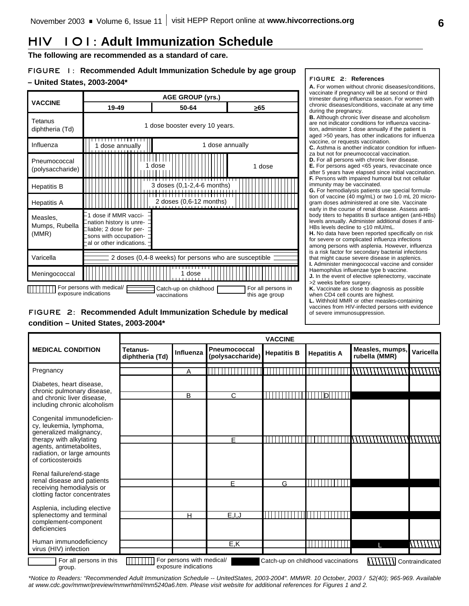# **HIV 101: Adult Immunization Schedule**

**The following are recommended as a standard of care.**

## **FIGURE 1: Recommended Adult Immunization Schedule by age group – United States, 2003-2004\***



## **FIGURE 2: Recommended Adult Immunization Schedule by medical condition – United States, 2003-2004\***

#### **FIGURE 2: References**

**A.** For women without chronic diseases/conditions, vaccinate if pregnancy will be at second or third trimester during influenza season. For women with chronic diseases/conditions, vaccinate at any time during the pregnancy.

**B.** Although chronic liver disease and alcoholism are not indicator conditions for influenza vaccination, administer 1 dose annually if the patient is aged >50 years, has other indications for influenza vaccine, or requests vaccination.

**C.** Asthma is another indicator condition for influenza but not for pneumococcal vaccination.

**D.** For all persons with chronic liver disease.

**E.** For persons aged <65 years, revaccinate once after 5 years have elapsed since initial vaccination. **F.** Persons with impaired humoral but not cellular immunity may be vaccinated.

**G.** For hemodialysis patients use special formulation of vaccine (40 mg/mL) or two 1.0 mL 20 microgram doses administered at one site. Vaccinate early in the course of renal disease. Assess antibody titers to hepatitis B surface antigen (anti-HBs) levels annually. Administer additional doses if anti-HBs levels decline to <10 mlU/mL.

**H.** No data have been reported specifically on risk for severe or complicated influenza infections among persons with asplenia. However, influenza is a risk factor for secondary bacterial infections that might cause severe disease in asplenics.

**I.** Administer meningococcal vaccine and consider Haemophilus influenzae type b vaccine. **J.** In the event of elective splenectomy, vaccinate

>2 weeks before surgery.

**K.** Vaccinate as close to diagnosis as possible when CD4 cell counts are highest.

**L.** Withhold MMR or other measles-containing

vaccines from HIV-infected persons with evidence of severe immunosuppression.

|                                                                                          | <b>VACCINE</b>              |                                                   |                                         |                    |                                    |                                  |                 |
|------------------------------------------------------------------------------------------|-----------------------------|---------------------------------------------------|-----------------------------------------|--------------------|------------------------------------|----------------------------------|-----------------|
| <b>MEDICAL CONDITION</b>                                                                 | Tetanus-<br>diphtheria (Td) | Influenza                                         | <b>Pneumococcal</b><br>(polysaccharide) | <b>Hepatitis B</b> | <b>Hepatitis A</b>                 | Measles, mumps,<br>rubella (MMR) | Varicella       |
| Pregnancy                                                                                |                             | Α                                                 |                                         |                    |                                    |                                  |                 |
| Diabetes, heart disease,                                                                 |                             |                                                   |                                         |                    |                                    |                                  |                 |
| chronic pulmonary disease,<br>and chronic liver disease.<br>including chronic alcoholism |                             | B                                                 | $\mathsf{C}$                            | $\blacksquare$     | D                                  |                                  |                 |
| Congenital immunodeficien-<br>cy, leukemia, lymphoma,<br>generalized malignancy,         |                             |                                                   |                                         |                    |                                    |                                  |                 |
| therapy with alkylating                                                                  |                             |                                                   | F.                                      |                    |                                    |                                  |                 |
| agents, antimetabolites,<br>radiation, or large amounts<br>of corticosteroids            |                             |                                                   |                                         |                    |                                    |                                  |                 |
| Renal failure/end-stage                                                                  |                             |                                                   |                                         |                    |                                    |                                  |                 |
| renal disease and patients<br>receiving hemodialysis or                                  |                             |                                                   | E                                       | G                  |                                    |                                  |                 |
| clotting factor concentrates                                                             |                             |                                                   |                                         |                    |                                    |                                  |                 |
| Asplenia, including elective                                                             |                             |                                                   |                                         |                    |                                    |                                  |                 |
| splenectomy and terminal<br>complement-component                                         |                             | Н                                                 | E, I, J                                 |                    |                                    |                                  |                 |
| deficiencies                                                                             |                             |                                                   |                                         |                    |                                    |                                  |                 |
| Human immunodeficiency<br>virus (HIV) infection                                          |                             |                                                   | E, K                                    |                    |                                    |                                  | \\\\\\\\\       |
| For all persons in this<br>group.                                                        |                             | For persons with medical/<br>exposure indications |                                         |                    | Catch-up on childhood vaccinations |                                  | Contraindicated |

*\*Notice to Readers: "Recommended Adult Immunization Schedule -- UnitedStates, 2003-2004". MMWR. 10 October, 2003 / 52(40); 965-969. Available at www.cdc.gov/mmwr/preview/mmwrhtml/mm5240a6.htm. Please visit website for additional references for Figures 1 and 2.*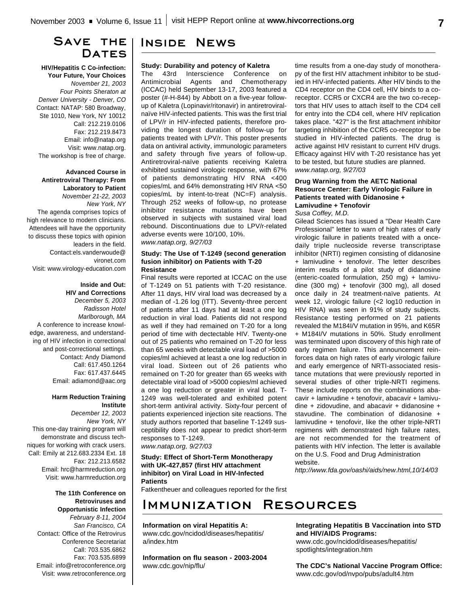## **Save the** DATES

**HIV/Hepatitis C Co-infection: Your Future, Your Choices** *November 21, 2003 Four Points Sheraton at Denver University - Denver, CO* Contact: NATAP: 580 Broadway, Ste 1010, New York, NY 10012 Call: 212.219.0106 Fax: 212.219.8473 Email: info@natap.org Visit: www.natap.org. The workshop is free of charge.

**Advanced Course in Antiretroviral Therapy: From Laboratory to Patient**  *November 21-22, 2003 New York, NY*

The agenda comprises topics of high relevance to modern clinicians. Attendees will have the opportunity to discuss these topics with opinion leaders in the field. Contact:els.vanderwoude@ vironet.com Visit: www.virology-education.com

#### **Inside and Out: HIV and Corrections** *December 5, 2003 Radisson Hotel*

*Marlborough, MA* A conference to increase knowledge, awareness, and understanding of HIV infection in correctional and post-correctional settings. Contact: Andy Diamond Call: 617.450.1264 Fax: 617.437.6445 Email: adiamond@aac.org

#### **Harm Reduction Training Institute**

*December 12, 2003 New York, NY* This one-day training program will demonstrate and discuss techniques for working with crack users. Call: Emily at 212.683.2334 Ext. 18 Fax: 212.213.6582 Email: hrc@harmreduction.org Visit: www.harmreduction.org

> **The 11th Conference on Retroviruses and Opportunistic Infection** *February 8-11, 2004*

*San Francisco, CA* Contact: Office of the Retrovirus Conference Secretariat Call: 703.535.6862 Fax: 703.535.6899 Email: info@retroconference.org Visit: www.retroconference.org

## **Inside News**

#### **Study: Durability and potency of Kaletra**

The 43rd Interscience Conference on Antimicrobial Agents and Chemotherapy (ICCAC) held September 13-17, 2003 featured a poster (#-H-844) by Abbott on a five-year followup of Kaletra (Lopinavir/ritonavir) in antiretroviralnaïve HIV-infected patients. This was the first trial of LPV/r in HIV-infected patients, therefore providing the longest duration of follow-up for patients treated with LPV/r. This poster presents data on antiviral activity, immunologic parameters and safety through five years of follow-up. Antiretroviral-naïve patients receiving Kaletra exhibited sustained virologic response, with 67% of patients demonstrating HIV RNA <400 copies/mL and 64% demonstrating HIV RNA <50 copies/mL by intent-to-treat (NC=F) analysis. Through 252 weeks of follow-up, no protease inhibitor resistance mutations have been observed in subjects with sustained viral load rebound. Discontinuations due to LPV/r-related adverse events were 10/100, 10%.

*www.natap.org, 9/27/03*

#### **Study: The Use of T-1249 (second generation fusion inhibitor) on Patients with T-20 Resistance**

Final results were reported at ICCAC on the use of T-1249 on 51 patients with T-20 resistance. After 11 days, HIV viral load was decreased by a median of -1.26 log (ITT). Seventy-three percent of patients after 11 days had at least a one log reduction in viral load. Patients did not respond as well if they had remained on T-20 for a long period of time with dectectable HIV. Twenty-one out of 25 patients who remained on T-20 for less than 65 weeks with detectable viral load of >5000 copies/ml achieved at least a one log reduction in viral load. Sixteen out of 26 patients who remained on T-20 for greater than 65 weeks with detectable viral load of >5000 copies/ml achieved a one log reduction or greater in viral load. T-1249 was well-tolerated and exhibited potent short-term antiviral activity. Sixty-four percent of patients experienced injection site reactions. The study authors reported that baseline T-1249 susceptibility does not appear to predict short-term responses to T-1249.

*www.natap.org, 9/27/03*

#### **Study: Effect of Short-Term Monotherapy with UK-427,857 (first HIV attachment inhibitor) on Viral Load in HIV-Infected Patients**

Fatkentheuer and colleagues reported for the first

# **Immunization Resources**

#### **Information on viral Hepatitis A:**

www.cdc.gov/ncidod/diseases/hepatitis/ a/index.htm

**Information on flu season - 2003-2004** www.cdc.gov/nip/flu/

time results from a one-day study of monotherapy of the first HIV attachment inhibitor to be studied in HIV-infected patients. After HIV binds to the CD4 receptor on the CD4 cell, HIV binds to a coreceptor. CCR5 or CXCR4 are the two co-receptors that HIV uses to attach itself to the CD4 cell for entry into the CD4 cell, where HIV replication takes place. "427" is the first attachment inhibitor targeting inhibition of the CCR5 co-receptor to be studied in HIV-infected patients. The drug is active against HIV resistant to current HIV drugs. Efficacy against HIV with T-20 resistance has yet to be tested, but future studies are planned. *www.natap.org, 9/27/03*

### **Drug Warning from the AETC National Resource Center: Early Virologic Failure in Patients treated with Didanosine + Lamivudine + Tenofovir**

*Susa Coffey, M.D.*

Gilead Sciences has issued a "Dear Health Care Professional" letter to warn of high rates of early virologic failure in patients treated with a oncedaily triple nucleoside reverse transcriptase inhibitor (NRTI) regimen consisting of didanosine + lamivudine + tenofovir. The letter describes interim results of a pilot study of didanosine (enteric-coated formulation, 250 mg) + lamivudine (300 mg) + tenofovir (300 mg), all dosed once daily in 24 treatment-naïve patients. At week 12, virologic failure (<2 log10 reduction in HIV RNA) was seen in 91% of study subjects. Resistance testing performed on 21 patients revealed the M184I/V mutation in 95%, and K65R + M184I/V mutations in 50%. Study enrollment was terminated upon discovery of this high rate of early regimen failure. This announcement reinforces data on high rates of early virologic failure and early emergence of NRTI-associated resistance mutations that were previously reported in several studies of other triple-NRTI regimens. These include reports on the combinations abacavir + lamivudine + tenofovir, abacavir + lamivudine + zidovudine, and abacavir + didanosine + stavudine. The combination of didanosine + lamivudine + tenofovir, like the other triple-NRTI regimens with demonstrated high failure rates, are not recommended for the treatment of patients with HIV infection. The letter is available on the U.S. Food and Drug Administration website.

*http://www.fda.gov/oashi/aids/new.html,10/14/03*

**Integrating Hepatitis B Vaccination into STD and HIV/AIDS Programs:** www.cdc.gov/ncidod/diseases/hepatitis/ spotlights/integration.htm

**The CDC's National Vaccine Program Office:** www.cdc.gov/od/nvpo/pubs/adult4.htm